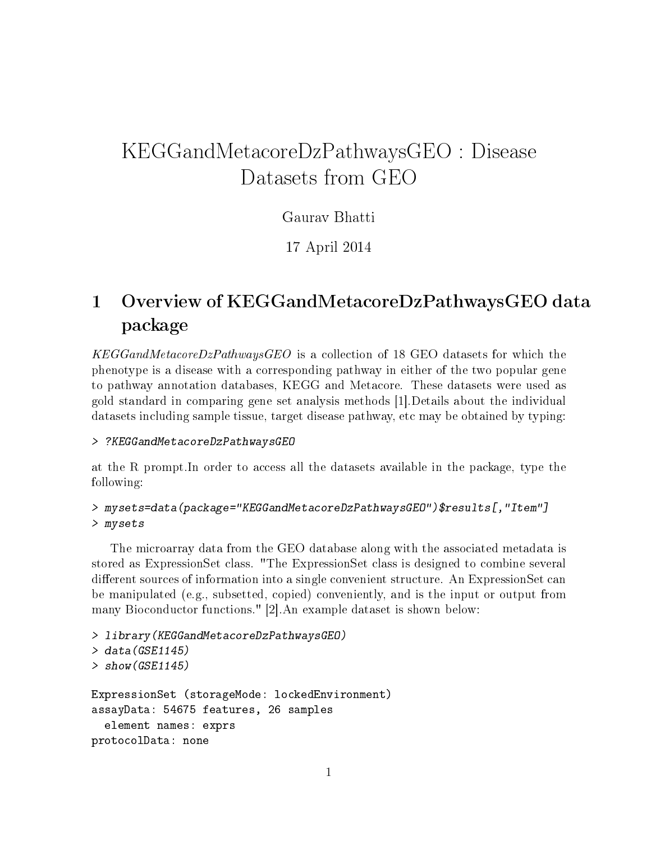# KEGGandMetacoreDzPathwaysGEO : Disease Datasets from GEO

### Gaurav Bhatti

17 April 2014

## 1 Overview of KEGGandMetacoreDzPathwaysGEO data package

KEGGandMetacoreDzPathwaysGEO is a collection of 18 GEO datasets for which the phenotype is a disease with a corresponding pathway in either of the two popular gene to pathway annotation databases, KEGG and Metacore. These datasets were used as gold standard in comparing gene set analysis methods [1].Details about the individual datasets including sample tissue, target disease pathway, etc may be obtained by typing:

#### > ?KEGGandMetacoreDzPathwaysGEO

at the R prompt.In order to access all the datasets available in the package, type the following:

```
> mysets=data(package="KEGGandMetacoreDzPathwaysGEO")$results[,"Item"]
> mysets
```
The microarray data from the GEO database along with the associated metadata is stored as ExpressionSet class. "The ExpressionSet class is designed to combine several different sources of information into a single convenient structure. An ExpressionSet can be manipulated (e.g., subsetted, copied) conveniently, and is the input or output from many Bioconductor functions." [2].An example dataset is shown below:

```
> library(KEGGandMetacoreDzPathwaysGEO)
> data(GSE1145)> show(GSE1145)
ExpressionSet (storageMode: lockedEnvironment)
assayData: 54675 features, 26 samples
  element names: exprs
protocolData: none
```